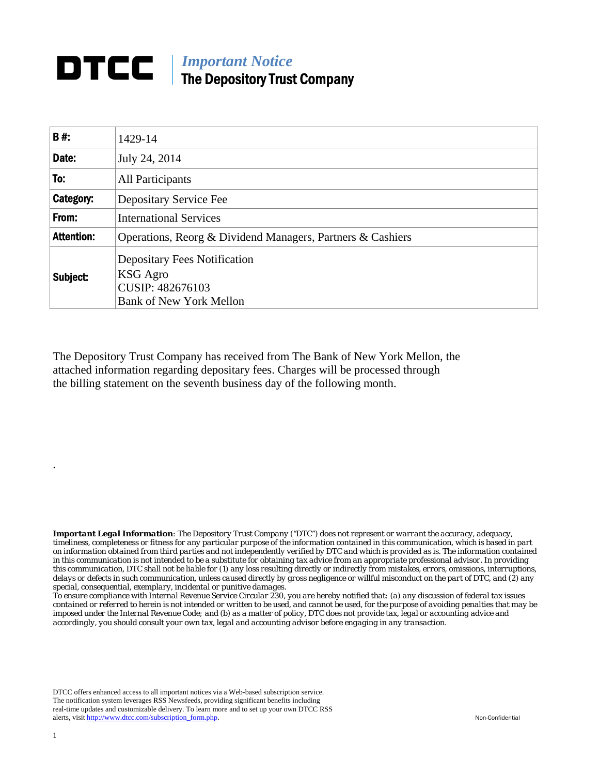## **DTCC** | *Important Notice* The Depository Trust Company

| B#:               | 1429-14                                                                                               |
|-------------------|-------------------------------------------------------------------------------------------------------|
| Date:             | July 24, 2014                                                                                         |
| To:               | All Participants                                                                                      |
| Category:         | Depositary Service Fee                                                                                |
| From:             | <b>International Services</b>                                                                         |
| <b>Attention:</b> | Operations, Reorg & Dividend Managers, Partners & Cashiers                                            |
| Subject:          | <b>Depositary Fees Notification</b><br>KSG Agro<br>CUSIP: 482676103<br><b>Bank of New York Mellon</b> |

The Depository Trust Company has received from The Bank of New York Mellon, the attached information regarding depositary fees. Charges will be processed through the billing statement on the seventh business day of the following month.

*Important Legal Information: The Depository Trust Company ("DTC") does not represent or warrant the accuracy, adequacy, timeliness, completeness or fitness for any particular purpose of the information contained in this communication, which is based in part on information obtained from third parties and not independently verified by DTC and which is provided as is. The information contained in this communication is not intended to be a substitute for obtaining tax advice from an appropriate professional advisor. In providing this communication, DTC shall not be liable for (1) any loss resulting directly or indirectly from mistakes, errors, omissions, interruptions, delays or defects in such communication, unless caused directly by gross negligence or willful misconduct on the part of DTC, and (2) any special, consequential, exemplary, incidental or punitive damages.* 

*To ensure compliance with Internal Revenue Service Circular 230, you are hereby notified that: (a) any discussion of federal tax issues contained or referred to herein is not intended or written to be used, and cannot be used, for the purpose of avoiding penalties that may be imposed under the Internal Revenue Code; and (b) as a matter of policy, DTC does not provide tax, legal or accounting advice and accordingly, you should consult your own tax, legal and accounting advisor before engaging in any transaction.*

DTCC offers enhanced access to all important notices via a Web-based subscription service. The notification system leverages RSS Newsfeeds, providing significant benefits including real-time updates and customizable delivery. To learn more and to set up your own DTCC RSS alerts, visit http://www.dtcc.com/subscription\_form.php. Non-Confidential

.